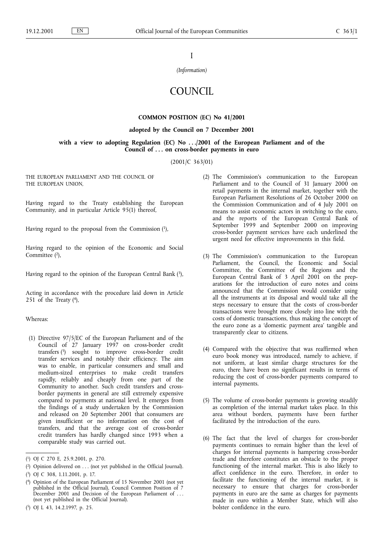I

(Information)

# **COUNCIL**

# COMMON POSITION (EC) No 41/2001

# adopted by the Council on 7 December 2001

# with a view to adopting Regulation (EC) No . . . /2001 of the European Parliament and of the Council of ... on cross-border payments in euro

(2001/C 363/01)

THE EUROPEAN PARLIAMENT AND THE COUNCIL OF THE EUROPEAN UNION,

Having regard to the Treaty establishing the European Community, and in particular Article 95(1) thereof,

Having regard to the proposal from the Commission (1),

Having regard to the opinion of the Economic and Social Committee (2),

Having regard to the opinion of the European Central Bank  $(3)$ ,

Acting in accordance with the procedure laid down in Article 251 of the Treaty  $(4)$ ,

Whereas:

(1) Directive 97/5/EC of the European Parliament and of the Council of 27 January 1997 on cross-border credit transfers (5) sought to improve cross-border credit transfer services and notably their efficiency. The aim was to enable, in particular consumers and small and medium-sized enterprises to make credit transfers rapidly, reliably and cheaply from one part of the Community to another. Such credit transfers and crossborder payments in general are still extremely expensive compared to payments at national level. It emerges from the findings of a study undertaken by the Commission and released on 20 September 2001 that consumers are given insufficient or no information on the cost of transfers, and that the average cost of cross-border credit transfers has hardly changed since 1993 when a comparable study was carried out.

- (2) The Commission's communication to the European Parliament and to the Council of 31 January 2000 on retail payments in the internal market, together with the European Parliament Resolutions of 26 October 2000 on the Commission Communication and of 4 July 2001 on means to assist economic actors in switching to the euro, and the reports of the European Central Bank of September 1999 and September 2000 on improving cross-border payment services have each underlined the urgent need for effective improvements in this field.
- (3) The Commission's communication to the European Parliament, the Council, the Economic and Social Committee, the Committee of the Regions and the European Central Bank of 3 April 2001 on the preparations for the introduction of euro notes and coins announced that the Commission would consider using all the instruments at its disposal and would take all the steps necessary to ensure that the costs of cross-border transactions were brought more closely into line with the costs of domestic transactions, thus making the concept of the euro zone as a 'domestic payment area' tangible and transparently clear to citizens.
- (4) Compared with the objective that was reaffirmed when euro book money was introduced, namely to achieve, if not uniform, at least similar charge structures for the euro, there have been no significant results in terms of reducing the cost of cross-border payments compared to internal payments.
- (5) The volume of cross-border payments is growing steadily as completion of the internal market takes place. In this area without borders, payments have been further facilitated by the introduction of the euro.
- (6) The fact that the level of charges for cross-border payments continues to remain higher than the level of charges for internal payments is hampering cross-border trade and therefore constitutes an obstacle to the proper functioning of the internal market. This is also likely to affect confidence in the euro. Therefore, in order to facilitate the functioning of the internal market, it is necessary to ensure that charges for cross-border payments in euro are the same as charges for payments made in euro within a Member State, which will also bolster confidence in the euro.

<sup>(</sup> 1) OJ C 270 E, 25.9.2001, p. 270.

<sup>(</sup> 2) Opinion delivered on . . . (not yet published in the Official Journal).

<sup>(</sup> 3) OJ C 308, 1.11.2001, p. 17.

<sup>(</sup> 4) Opinion of the European Parliament of 15 November 2001 (not yet published in the Official Journal), Council Common Position of 7 December 2001 and Decision of the European Parliament of . . . (not yet published in the Official Journal).

<sup>(</sup> 5) OJ L 43, 14.2.1997, p. 25.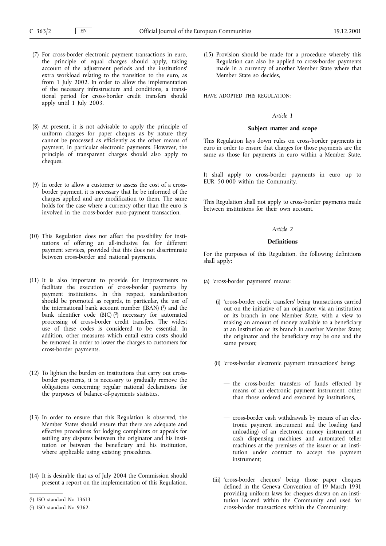- (7) For cross-border electronic payment transactions in euro, the principle of equal charges should apply, taking account of the adjustment periods and the institutions' extra workload relating to the transition to the euro, as from 1 July 2002. In order to allow the implementation of the necessary infrastructure and conditions, a transitional period for cross-border credit transfers should apply until 1 July 2003.
- (8) At present, it is not advisable to apply the principle of uniform charges for paper cheques as by nature they cannot be processed as efficiently as the other means of payment, in particular electronic payments. However, the principle of transparent charges should also apply to cheques.
- (9) In order to allow a customer to assess the cost of a crossborder payment, it is necessary that he be informed of the charges applied and any modification to them. The same holds for the case where a currency other than the euro is involved in the cross-border euro-payment transaction.
- (10) This Regulation does not affect the possibility for institutions of offering an all-inclusive fee for different payment services, provided that this does not discriminate between cross-border and national payments.
- (11) It is also important to provide for improvements to facilitate the execution of cross-border payments by payment institutions. In this respect, standardisation should be promoted as regards, in particular, the use of the international bank account number (IBAN)  $(1)$  and the bank identifier code (BIC) (2) necessary for automated processing of cross-border credit transfers. The widest use of these codes is considered to be essential. In addition, other measures which entail extra costs should be removed in order to lower the charges to customers for cross-border payments.
- (12) To lighten the burden on institutions that carry out crossborder payments, it is necessary to gradually remove the obligations concerning regular national declarations for the purposes of balance-of-payments statistics.
- (13) In order to ensure that this Regulation is observed, the Member States should ensure that there are adequate and effective procedures for lodging complaints or appeals for settling any disputes between the originator and his institution or between the beneficiary and his institution, where applicable using existing procedures.
- (14) It is desirable that as of July 2004 the Commission should present a report on the implementation of this Regulation.

(15) Provision should be made for a procedure whereby this Regulation can also be applied to cross-border payments made in a currency of another Member State where that Member State so decides,

HAVE ADOPTED THIS REGULATION:

#### Article 1

#### Subject matter and scope

This Regulation lays down rules on cross-border payments in euro in order to ensure that charges for those payments are the same as those for payments in euro within a Member State.

It shall apply to cross-border payments in euro up to EUR 50 000 within the Community.

This Regulation shall not apply to cross-border payments made between institutions for their own account.

# Article 2

#### Definitions

For the purposes of this Regulation, the following definitions shall apply:

- (a) 'cross-border payments' means:
	- (i) 'cross-border credit transfers' being transactions carried out on the initiative of an originator via an institution or its branch in one Member State, with a view to making an amount of money available to a beneficiary at an institution or its branch in another Member State; the originator and the beneficiary may be one and the same person;
	- (ii) 'cross-border electronic payment transactions' being:
		- the cross-border transfers of funds effected by means of an electronic payment instrument, other than those ordered and executed by institutions,
		- cross-border cash withdrawals by means of an electronic payment instrument and the loading (and unloading) of an electronic money instrument at cash dispensing machines and automated teller machines at the premises of the issuer or an institution under contract to accept the payment instrument;
	- (iii) cross-border cheques' being those paper cheques defined in the Geneva Convention of 19 March 1931 providing uniform laws for cheques drawn on an institution located within the Community and used for cross-border transactions within the Community;

<sup>(</sup> 1) ISO standard No 13613.

<sup>(</sup> 2) ISO standard No 9362.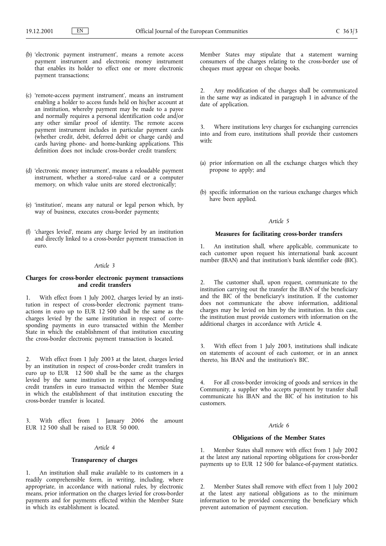- (b) 'electronic payment instrument', means a remote access payment instrument and electronic money instrument that enables its holder to effect one or more electronic payment transactions;
- (c) 'remote-access payment instrument', means an instrument enabling a holder to access funds held on his/her account at an institution, whereby payment may be made to a payee and normally requires a personal identification code and/or any other similar proof of identity. The remote access payment instrument includes in particular payment cards (whether credit, debit, deferred debit or charge cards) and cards having phone- and home-banking applications. This definition does not include cross-border credit transfers;
- (d) 'electronic money instrument', means a reloadable payment instrument, whether a stored-value card or a computer memory, on which value units are stored electronically;
- (e) institution, means any natural or legal person which, by way of business, executes cross-border payments;
- (f) 'charges levied', means any charge levied by an institution and directly linked to a cross-border payment transaction in euro.

# Article 3

# Charges for cross-border electronic payment transactions and credit transfers

1. With effect from 1 July 2002, charges levied by an institution in respect of cross-border electronic payment transactions in euro up to EUR 12 500 shall be the same as the charges levied by the same institution in respect of corresponding payments in euro transacted within the Member State in which the establishment of that institution executing the cross-border electronic payment transaction is located.

With effect from 1 July 2003 at the latest, charges levied by an institution in respect of cross-border credit transfers in euro up to EUR 12 500 shall be the same as the charges levied by the same institution in respect of corresponding credit transfers in euro transacted within the Member State in which the establishment of that institution executing the cross-border transfer is located.

With effect from 1 January 2006 the amount EUR 12 500 shall be raised to EUR 50 000.

#### Article 4

#### Transparency of charges

1. An institution shall make available to its customers in a readily comprehensible form, in writing, including, where appropriate, in accordance with national rules, by electronic means, prior information on the charges levied for cross-border payments and for payments effected within the Member State in which its establishment is located.

Member States may stipulate that a statement warning consumers of the charges relating to the cross-border use of cheques must appear on cheque books.

2. Any modification of the charges shall be communicated in the same way as indicated in paragraph 1 in advance of the date of application.

Where institutions levy charges for exchanging currencies into and from euro, institutions shall provide their customers with:

- (a) prior information on all the exchange charges which they propose to apply; and
- (b) specific information on the various exchange charges which have been applied.

#### Article 5

#### Measures for facilitating cross-border transfers

1. An institution shall, where applicable, communicate to each customer upon request his international bank account number (IBAN) and that institution's bank identifier code (BIC).

2. The customer shall, upon request, communicate to the institution carrying out the transfer the IBAN of the beneficiary and the BIC of the beneficiary's institution. If the customer does not communicate the above information, additional charges may be levied on him by the institution. In this case, the institution must provide customers with information on the additional charges in accordance with Article 4.

3. With effect from 1 July 2003, institutions shall indicate on statements of account of each customer, or in an annex thereto, his IBAN and the institution's BIC.

4. For all cross-border invoicing of goods and services in the Community, a supplier who accepts payment by transfer shall communicate his IBAN and the BIC of his institution to his customers.

#### Article 6

#### Obligations of the Member States

1. Member States shall remove with effect from 1 July 2002 at the latest any national reporting obligations for cross-border payments up to EUR 12 500 for balance-of-payment statistics.

2. Member States shall remove with effect from 1 July 2002 at the latest any national obligations as to the minimum information to be provided concerning the beneficiary which prevent automation of payment execution.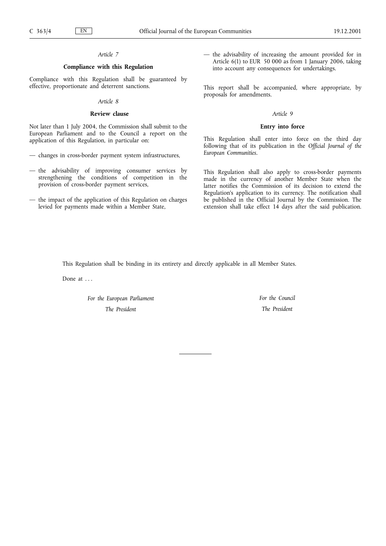# Article 7

# Compliance with this Regulation

Compliance with this Regulation shall be guaranteed by effective, proportionate and deterrent sanctions.

#### Article 8

#### Review clause

Not later than 1 July 2004, the Commission shall submit to the European Parliament and to the Council a report on the application of this Regulation, in particular on:

- changes in cross-border payment system infrastructures,
- the advisability of improving consumer services by strengthening the conditions of competition in the provision of cross-border payment services,
- the impact of the application of this Regulation on charges levied for payments made within a Member State,

 $-$  the advisability of increasing the amount provided for in Article 6(1) to EUR 50 000 as from 1 January 2006, taking into account any consequences for undertakings.

This report shall be accompanied, where appropriate, by proposals for amendments.

#### Article 9

# Entry into force

This Regulation shall enter into force on the third day following that of its publication in the Official Journal of the European Communities.

This Regulation shall also apply to cross-border payments made in the currency of another Member State when the latter notifies the Commission of its decision to extend the Regulation's application to its currency. The notification shall be published in the Official Journal by the Commission. The extension shall take effect 14 days after the said publication.

This Regulation shall be binding in its entirety and directly applicable in all Member States.

Done at ...

For the European Parliament The President

For the Council The President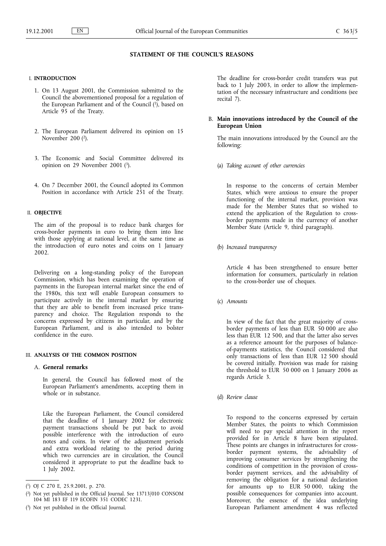# STATEMENT OF THE COUNCIL'S REASONS

# I. INTRODUCTION

- 1. On 13 August 2001, the Commission submitted to the Council the abovementioned proposal for a regulation of the European Parliament and of the Council  $(1)$ , based on Article 95 of the Treaty.
- 2. The European Parliament delivered its opinion on 15 November 200 (2).
- 3. The Economic and Social Committee delivered its opinion on 29 November 2001 (3).
- 4. On 7 December 2001, the Council adopted its Common Position in accordance with Article 251 of the Treaty.

## II. OBJECTIVE

The aim of the proposal is to reduce bank charges for cross-border payments in euro to bring them into line with those applying at national level, at the same time as the introduction of euro notes and coins on 1 January 2002.

Delivering on a long-standing policy of the European Commission, which has been examining the operation of payments in the European internal market since the end of the 1980s, this text will enable European consumers to participate actively in the internal market by ensuring that they are able to benefit from increased price transparency and choice. The Regulation responds to the concerns expressed by citizens in particular, and by the European Parliament, and is also intended to bolster confidence in the euro.

#### III. ANALYSIS OF THE COMMON POSITION

# A. General remarks

In general, the Council has followed most of the European Parliament's amendments, accepting them in whole or in substance.

Like the European Parliament, the Council considered that the deadline of 1 January 2002 for electronic payment transactions should be put back to avoid possible interference with the introduction of euro notes and coins. In view of the adjustment periods and extra workload relating to the period during which two currencies are in circulation, the Council considered it appropriate to put the deadline back to 1 July 2002.

The deadline for cross-border credit transfers was put back to 1 July 2003, in order to allow the implementation of the necessary infrastructure and conditions (see recital 7).

# B. Main innovations introduced by the Council of the European Union

The main innovations introduced by the Council are the following:

(a) Taking account of other currencies

In response to the concerns of certain Member States, which were anxious to ensure the proper functioning of the internal market, provision was made for the Member States that so wished to extend the application of the Regulation to crossborder payments made in the currency of another Member State (Article 9, third paragraph).

(b) Increased transparency

Article 4 has been strengthened to ensure better information for consumers, particularly in relation to the cross-border use of cheques.

(c) Amounts

In view of the fact that the great majority of crossborder payments of less than EUR 50 000 are also less than EUR 12 500, and that the latter also serves as a reference amount for the purposes of balanceof-payments statistics, the Council considered that only transactions of less than EUR 12 500 should be covered initially. Provision was made for raising the threshold to EUR 50 000 on 1 January 2006 as regards Article 3.

(d) Review clause

To respond to the concerns expressed by certain Member States, the points to which Commission will need to pay special attention in the report provided for in Article 8 have been stipulated. These points are changes in infrastructures for crossborder payment systems, the advisability of improving consumer services by strengthening the conditions of competition in the provision of crossborder payment services, and the advisability of removing the obligation for a national declaration for amounts up to EUR 50 000, taking the possible consequences for companies into account. Moreover, the essence of the idea underlying European Parliament amendment 4 was reflected

<sup>(</sup> 1) OJ C 270 E, 25.9.2001, p. 270.

<sup>(</sup> 2) Not yet published in the Official Journal. See 13713/010 CONSOM 104 MI 183 EF 119 ECOFIN 351 CODEC 1231.

<sup>(</sup> 3) Not yet published in the Official Journal.